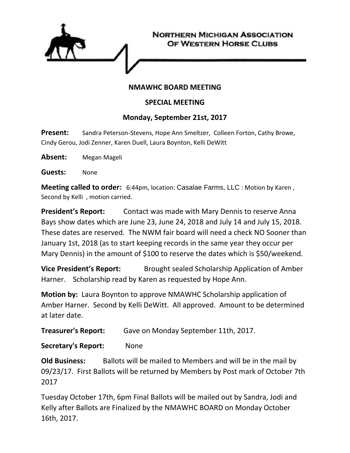

## **NMAWHC BOARD MEETING**

## **SPECIAL MEETING**

## **Monday, September 21st, 2017**

**Present:** Sandra Peterson-Stevens, Hope Ann Smeltzer, Colleen Forton, Cathy Browe, Cindy Gerou, Jodi Zenner, Karen Duell, Laura Boynton, Kelli DeWitt

**Absent:** Megan Mageli

**Guests:** None

**Meeting called to order:** 6:44pm, location: Casalae Farms, LLC : Motion by Karen , Second by Kelli , motion carried.

**President's Report:** Contact was made with Mary Dennis to reserve Anna Bays show dates which are June 23, June 24, 2018 and July 14 and July 15, 2018. These dates are reserved. The NWM fair board will need a check NO Sooner than January 1st, 2018 (as to start keeping records in the same year they occur per Mary Dennis) in the amount of \$100 to reserve the dates which is \$50/weekend.

**Vice President's Report:** Brought sealed Scholarship Application of Amber Harner. Scholarship read by Karen as requested by Hope Ann.

**Motion by:** Laura Boynton to approve NMAWHC Scholarship application of Amber Harner. Second by Kelli DeWitt. All approved. Amount to be determined at later date.

**Treasurer's Report:** Gave on Monday September 11th, 2017.

**Secretary's Report:** None

**Old Business:** Ballots will be mailed to Members and will be in the mail by 09/23/17. First Ballots will be returned by Members by Post mark of October 7th 2017

Tuesday October 17th, 6pm Final Ballots will be mailed out by Sandra, Jodi and Kelly after Ballots are Finalized by the NMAWHC BOARD on Monday October 16th, 2017.